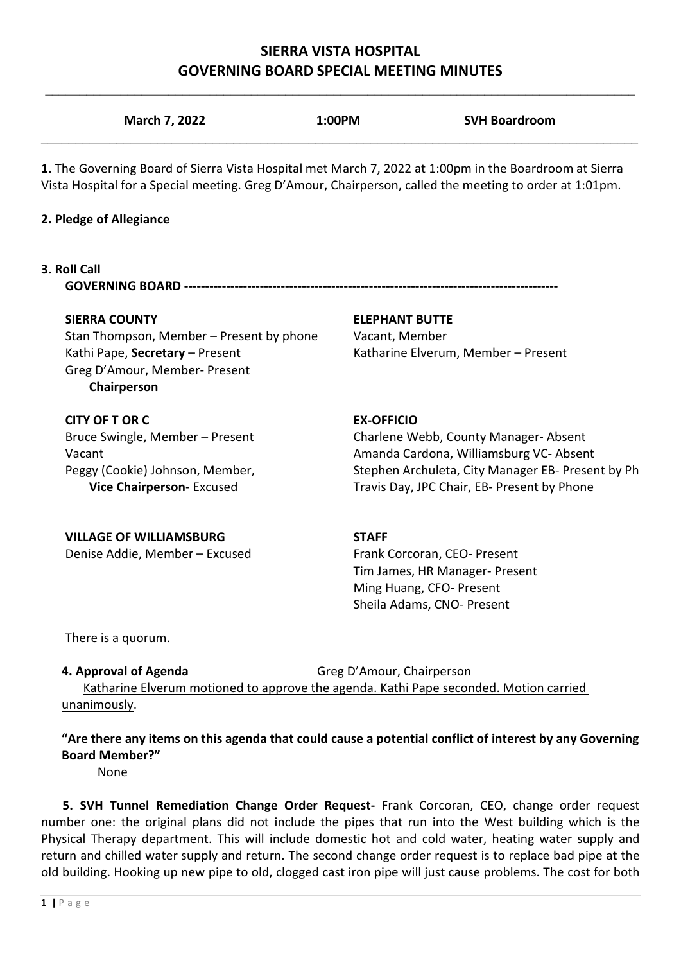# **SIERRA VISTA HOSPITAL GOVERNING BOARD SPECIAL MEETING MINUTES**

|                                                                                 | 1. The Governing Board of Sierra Vista Hospital met March 7, 2022 at 1:00pm in the Boardroom at Sierra<br>Vista Hospital for a Special meeting. Greg D'Amour, Chairperson, called the meeting to order at 1:01pm. |
|---------------------------------------------------------------------------------|-------------------------------------------------------------------------------------------------------------------------------------------------------------------------------------------------------------------|
| 2. Pledge of Allegiance                                                         |                                                                                                                                                                                                                   |
| 3. Roll Call                                                                    |                                                                                                                                                                                                                   |
| <b>SIERRA COUNTY</b>                                                            | <b>ELEPHANT BUTTE</b>                                                                                                                                                                                             |
| Stan Thompson, Member – Present by phone                                        | Vacant, Member                                                                                                                                                                                                    |
| Kathi Pape, Secretary - Present<br>Greg D'Amour, Member- Present<br>Chairperson | Katharine Elverum, Member - Present                                                                                                                                                                               |
| <b>CITY OF T OR C</b>                                                           | <b>EX-OFFICIO</b>                                                                                                                                                                                                 |
| Bruce Swingle, Member - Present                                                 | Charlene Webb, County Manager-Absent                                                                                                                                                                              |
| Vacant                                                                          | Amanda Cardona, Williamsburg VC- Absent                                                                                                                                                                           |
| Peggy (Cookie) Johnson, Member,<br>Vice Chairperson- Excused                    | Stephen Archuleta, City Manager EB- Present by Ph<br>Travis Day, JPC Chair, EB- Present by Phone                                                                                                                  |
| <b>VILLAGE OF WILLIAMSBURG</b>                                                  | <b>STAFF</b>                                                                                                                                                                                                      |
| Denise Addie, Member - Excused                                                  | Frank Corcoran, CEO- Present                                                                                                                                                                                      |
|                                                                                 | Tim James, HR Manager- Present                                                                                                                                                                                    |
|                                                                                 | Ming Huang, CFO- Present<br>Sheila Adams, CNO- Present                                                                                                                                                            |
| There is a quorum.                                                              |                                                                                                                                                                                                                   |
| 4. Approval of Agenda                                                           | Greg D'Amour, Chairperson<br>Katharine Elverum motioned to approve the agenda. Kathi Pape seconded. Motion carried                                                                                                |
| unanimously.                                                                    |                                                                                                                                                                                                                   |
|                                                                                 | "Are there any items on this agenda that could cause a potential conflict of interest by any Governing                                                                                                            |

 **5. SVH Tunnel Remediation Change Order Request-** Frank Corcoran, CEO, change order request number one: the original plans did not include the pipes that run into the West building which is the Physical Therapy department. This will include domestic hot and cold water, heating water supply and return and chilled water supply and return. The second change order request is to replace bad pipe at the old building. Hooking up new pipe to old, clogged cast iron pipe will just cause problems. The cost for both